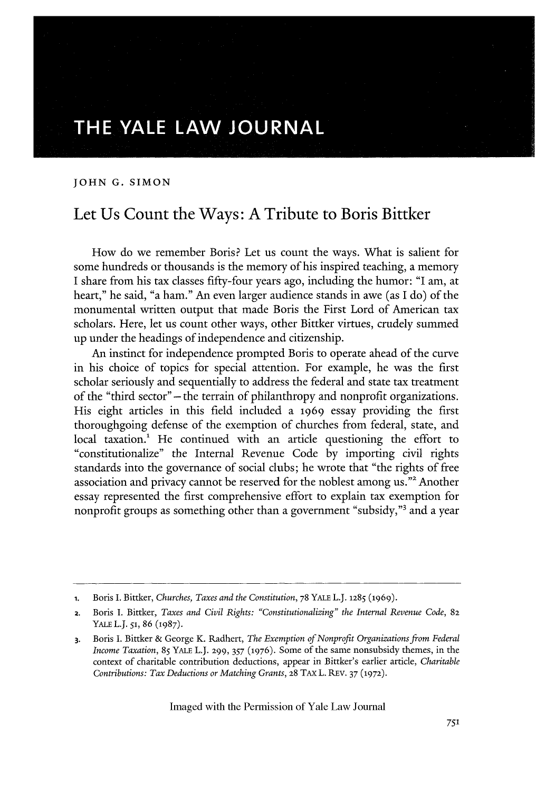## **THE YALE LAW JOURNAL**

**JOHN G. SIMON**

## Let Us Count the Ways: **A** Tribute to Boris Bittker

How do we remember Boris? Let us count the ways. What is salient for some hundreds or thousands is the memory of his inspired teaching, a memory I share from his tax classes fifty-four years ago, including the humor: "I am, at heart," he said, "a ham." An even larger audience stands in awe (as I do) of the monumental written output that made Boris the First Lord of American tax scholars. Here, let us count other ways, other Bittker virtues, crudely summed up under the headings of independence and citizenship.

An instinct for independence prompted Boris to operate ahead of the curve in his choice of topics for special attention. For example, he was the first scholar seriously and sequentially to address the federal and state tax treatment of the "third sector" -the terrain of philanthropy and nonprofit organizations. His eight articles in this field included a 1969 essay providing the first thoroughgoing defense of the exemption of churches from federal, state, and local taxation.! He continued with an article questioning the effort to "constitutionalize" the Internal Revenue Code by importing civil rights standards into the governance of social clubs; he wrote that "the rights of free association and privacy cannot be reserved for the noblest among us."2 Another essay represented the first comprehensive effort to explain tax exemption for nonprofit groups as something other than a government "subsidy,"3 and a year

**<sup>1.</sup>** Boris I. Bittker, *Churches, Taxes and the Constitution,* 78 YALE L.J. **1285 (1969).**

<sup>2.</sup> Boris I. Bittker, *Taxes and Civil Rights: "Constitutionalizing" the Internal Revenue Code,* **82** YALE L.J. *51,* 86 (1987).

**<sup>3.</sup>** Boris I. Bittker & George K. Radhert, *The Exemption of Nonprofit Organizations from Federal Income Taxation,* 85 YALE L.J. 299, *357* (1976). Some of the same nonsubsidy themes, in the context of charitable contribution deductions, appear in Bittker's earlier article, *Charitable Contributions: Tax Deductions or Matching Grants,* **28 TAX** L. REV. 37 **(1972).**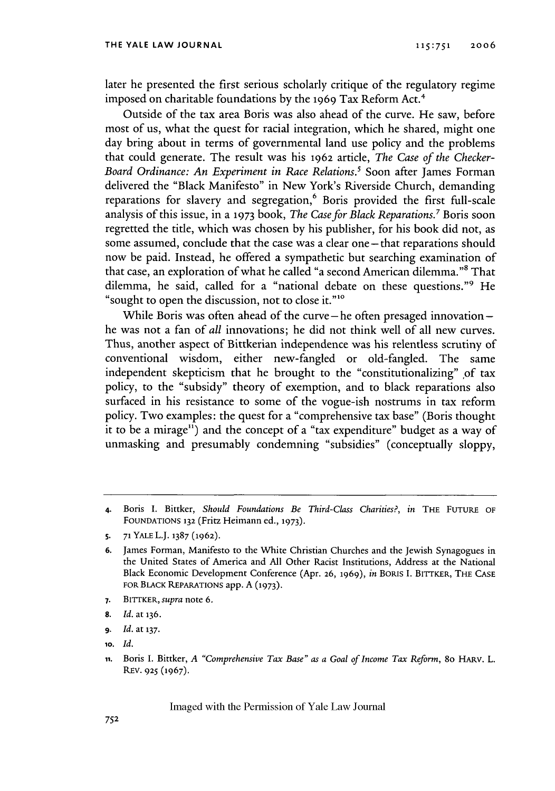later he presented the first serious scholarly critique of the regulatory regime imposed on charitable foundations by the 1969 Tax Reform Act.<sup>4</sup>

Outside of the tax area Boris was also ahead of the curve. He saw, before most of us, what the quest for racial integration, which he shared, might one day bring about in terms of governmental land use policy and the problems that could generate. The result was his 1962 article, *The Case of the Checker-Board Ordinance: An Experiment in Race Relations.'* Soon after James Forman delivered the "Black Manifesto" in New York's Riverside Church, demanding reparations for slavery and segregation,<sup>6</sup> Boris provided the first full-scale analysis of this issue, in a **1973** book, *The Case for Black Reparations.7* Boris soon regretted the title, which was chosen by his publisher, for his book did not, as some assumed, conclude that the case was a clear one - that reparations should now be paid. Instead, he offered a sympathetic but searching examination of that case, an exploration of what he called "a second American dilemma."8 That dilemma, he said, called for a "national debate on these questions."9 He "sought to open the discussion, not to close it."<sup>10</sup>

While Boris was often ahead of the curve-he often presaged innovationhe was not a fan of *all* innovations; he did not think well of all new curves. Thus, another aspect of Bittkerian independence was his relentless scrutiny of conventional wisdom, either new-fangled or old-fangled. The same independent skepticism that he brought to the "constitutionalizing" of tax policy, to the "subsidy" theory of exemption, and to black reparations also surfaced in his resistance to some of the vogue-ish nostrums in tax reform policy. Two examples: the quest for a "comprehensive tax base" (Boris thought it to be a mirage") and the concept of a "tax expenditure" budget as a way of unmasking and presumably condemning "subsidies" (conceptually sloppy,

- **7.** BITTKER, supra note 6.
- **8.** *Id.* at 136.
- **9.** *Id.* at **137.**
- **10.** *Id.*

**<sup>4.</sup>** Boris I. Bittker, *Should Foundations Be Third-Class Charities?, in* THE **FUTURE** OF **FOUNDATIONS 132** (Fritz Heimann ed., **1973).**

**<sup>5.</sup> 71** YALE L.J. **1387 (1962).**

**<sup>6.</sup>** James Forman, Manifesto to the White Christian Churches and the Jewish Synagogues in the United States of America and All Other Racist Institutions, Address at the National Black Economic Development Conference (Apr. **26, 1969),** in BORIS **I.** BITTKER, THE **CASE** FOR BLACK REPARATIONS app. A **(1973).**

**ii.** Boris I. Bittker, *A "Comprehensive Tax Base" as a Goal of Income Tax Reform,* 80 HARV. L. REV. **925** (1967).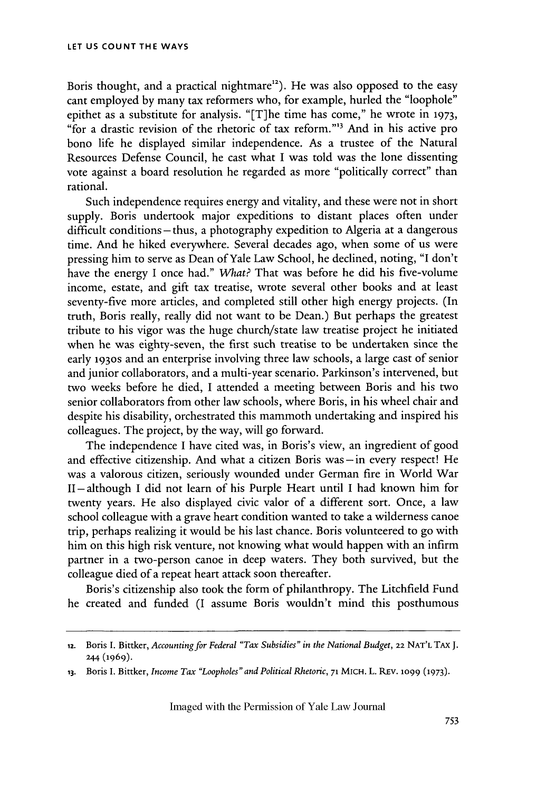Boris thought, and a practical nightmare<sup>12</sup>). He was also opposed to the easy cant employed by many tax reformers who, for example, hurled the "loophole" epithet as a substitute for analysis. "[T]he time has come," he wrote in **1973,** "for a drastic revision of the rhetoric of tax reform."'3 And in his active pro bono life he displayed similar independence. As a trustee of the Natural Resources Defense Council, he cast what I was told was the lone dissenting vote against a board resolution he regarded as more "politically correct" than rational.

Such independence requires energy and vitality, and these were not in short supply. Boris undertook major expeditions to distant places often under difficult conditions- thus, a photography expedition to Algeria at a dangerous time. And he hiked everywhere. Several decades ago, when some of us were pressing him to serve as Dean of Yale Law School, he declined, noting, "I don't have the energy I once had." What? That was before he did his five-volume income, estate, and gift tax treatise, wrote several other books and at least seventy-five more articles, and completed still other high energy projects. (In truth, Boris really, really did not want to be Dean.) But perhaps the greatest tribute to his vigor was the huge church/state law treatise project he initiated when he was eighty-seven, the first such treatise to be undertaken since the early 1930s and an enterprise involving three law schools, a large cast of senior and junior collaborators, and a multi-year scenario. Parkinson's intervened, but two weeks before he died, I attended a meeting between Boris and his two senior collaborators from other law schools, where Boris, in his wheel chair and despite his disability, orchestrated this mammoth undertaking and inspired his colleagues. The project, by the way, will go forward.

The independence I have cited was, in Boris's view, an ingredient of good and effective citizenship. And what a citizen Boris was **-in** every respect! He was a valorous citizen, seriously wounded under German fire in World War II **-** although I did not learn of his Purple Heart until I had known him for twenty years. He also displayed civic valor of a different sort. Once, a law school colleague with a grave heart condition wanted to take a wilderness canoe trip, perhaps realizing it would be his last chance. Boris volunteered to go with him on this high risk venture, not knowing what would happen with an infirm partner in a two-person canoe in deep waters. They both survived, but the colleague died of a repeat heart attack soon thereafter.

Boris's citizenship also took the form of philanthropy. The Litchfield Fund he created and funded (I assume Boris wouldn't mind this posthumous

<sup>12.</sup> Boris **I.** Bittker, *Accounting for Federal "Tax Subsidies" in the National Budget,* **22** NAT'L TAx **J.** 244 (1969).

**<sup>13.</sup>** Boris I. Bittker, *Income Tax "Loopholes" and Political Rhetoric,* **71 MICH.** L. **REv.** iO99 **(1973).**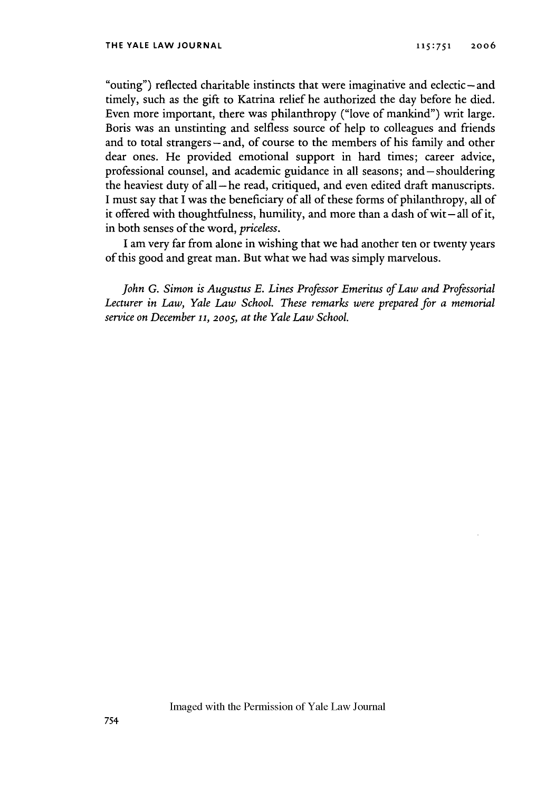"outing") reflected charitable instincts that were imaginative and eclectic – and timely, such as the gift to Katrina relief he authorized the day before he died. Even more important, there was philanthropy ("love of mankind") writ large. Boris was an unstinting and selfless source of help to colleagues and friends and to total strangers-and, of course to the members of his family and other dear ones. He provided emotional support in hard times; career advice, professional counsel, and academic guidance in all seasons; and-shouldering the heaviest duty of all **-he** read, critiqued, and even edited draft manuscripts. I must say that I was the beneficiary of all of these forms of philanthropy, all of it offered with thoughtfulness, humility, and more than a dash of wit-all of it, in both senses of the word, *priceless.*

I am very far from alone in wishing that we had another ten or twenty years of this good and great man. But what we had was simply marvelous.

*John G. Simon is Augustus E. Lines Professor Emeritus of Law and Professorial Lecturer in Law, Yale Law School. These remarks were prepared for a memorial service on December* **11,** 2oo5, *at the Yale Law School.*